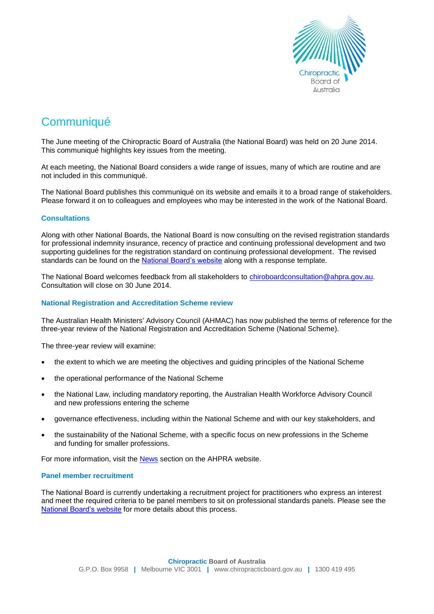

# **Communiqué**

The June meeting of the Chiropractic Board of Australia (the National Board) was held on 20 June 2014. This communiqué highlights key issues from the meeting.

At each meeting, the National Board considers a wide range of issues, many of which are routine and are not included in this communiqué.

The National Board publishes this communiqué on its website and emails it to a broad range of stakeholders. Please forward it on to colleagues and employees who may be interested in the work of the National Board.

# **Consultations**

Along with other National Boards, the National Board is now consulting on the revised registration standards for professional indemnity insurance, recency of practice and continuing professional development and two supporting guidelines for the registration standard on continuing professional development. The revised standards can be found on the [National Board's website](http://www.chiropracticboard.gov.au/News/Current-consultations.aspx) along with a response template.

The National Board welcomes feedback from all stakeholders to chiroboardconsultation@ahpra.gov.au. Consultation will close on 30 June 2014.

## **National Registration and Accreditation Scheme review**

The Australian Health Ministers' Advisory Council (AHMAC) has now published the terms of reference for the three-year review of the National Registration and Accreditation Scheme (National Scheme).

The three-year review will examine:

- the extent to which we are meeting the objectives and guiding principles of the National Scheme
- the operational performance of the National Scheme
- the National Law, including mandatory reporting, the Australian Health Workforce Advisory Council and new professions entering the scheme
- governance effectiveness, including within the National Scheme and with our key stakeholders, and
- the sustainability of the National Scheme, with a specific focus on new professions in the Scheme and funding for smaller professions.

For more information, visit the [News](http://www.ahpra.gov.au/News/2014-04-29-terms-of-reference.aspx) section on the AHPRA website.

## **Panel member recruitment**

The National Board is currently undertaking a recruitment project for practitioners who express an interest and meet the required criteria to be panel members to sit on professional standards panels. Please see the [National Board's](http://www.chiropracticboard.gov.au/News.aspx) website for more details about this process.